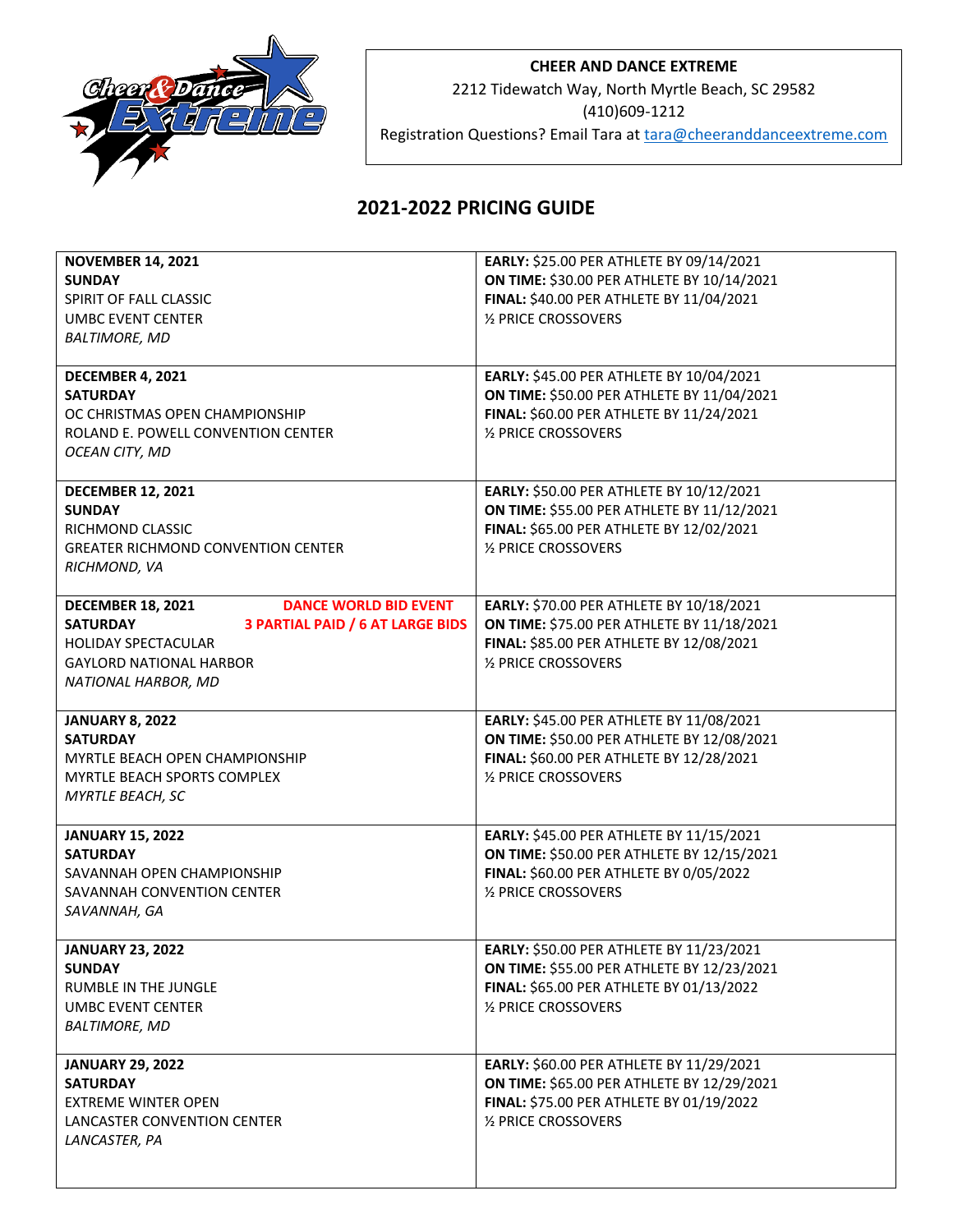

## **CHEER AND DANCE EXTREME**

2212 Tidewatch Way, North Myrtle Beach, SC 29582

(410)609-1212

Registration Questions? Email Tara at **tara@cheeranddanceextreme.com** 

## **2021-2022 PRICING GUIDE**

| <b>NOVEMBER 14, 2021</b>                                   | EARLY: \$25.00 PER ATHLETE BY 09/14/2021   |
|------------------------------------------------------------|--------------------------------------------|
| <b>SUNDAY</b>                                              | ON TIME: \$30.00 PER ATHLETE BY 10/14/2021 |
| SPIRIT OF FALL CLASSIC                                     | FINAL: \$40.00 PER ATHLETE BY 11/04/2021   |
| <b>UMBC EVENT CENTER</b>                                   | 1/2 PRICE CROSSOVERS                       |
| <b>BALTIMORE, MD</b>                                       |                                            |
|                                                            |                                            |
| DECEMBER 4, 2021                                           | EARLY: \$45.00 PER ATHLETE BY 10/04/2021   |
| <b>SATURDAY</b>                                            | ON TIME: \$50.00 PER ATHLETE BY 11/04/2021 |
| OC CHRISTMAS OPEN CHAMPIONSHIP                             | FINAL: \$60.00 PER ATHLETE BY 11/24/2021   |
| ROLAND E. POWELL CONVENTION CENTER                         | 1/2 PRICE CROSSOVERS                       |
| OCEAN CITY, MD                                             |                                            |
|                                                            |                                            |
| <b>DECEMBER 12, 2021</b>                                   | EARLY: \$50.00 PER ATHLETE BY 10/12/2021   |
| <b>SUNDAY</b>                                              | ON TIME: \$55.00 PER ATHLETE BY 11/12/2021 |
| RICHMOND CLASSIC                                           | FINAL: \$65.00 PER ATHLETE BY 12/02/2021   |
| <b>GREATER RICHMOND CONVENTION CENTER</b>                  | 1/2 PRICE CROSSOVERS                       |
| RICHMOND, VA                                               |                                            |
|                                                            |                                            |
| <b>DANCE WORLD BID EVENT</b><br><b>DECEMBER 18, 2021</b>   | EARLY: \$70.00 PER ATHLETE BY 10/18/2021   |
| <b>SATURDAY</b><br><b>3 PARTIAL PAID / 6 AT LARGE BIDS</b> | ON TIME: \$75.00 PER ATHLETE BY 11/18/2021 |
| <b>HOLIDAY SPECTACULAR</b>                                 | FINAL: \$85.00 PER ATHLETE BY 12/08/2021   |
| <b>GAYLORD NATIONAL HARBOR</b>                             | 1/2 PRICE CROSSOVERS                       |
| NATIONAL HARBOR, MD                                        |                                            |
|                                                            |                                            |
| <b>JANUARY 8, 2022</b>                                     | EARLY: \$45.00 PER ATHLETE BY 11/08/2021   |
| <b>SATURDAY</b>                                            | ON TIME: \$50.00 PER ATHLETE BY 12/08/2021 |
| MYRTLE BEACH OPEN CHAMPIONSHIP                             | FINAL: \$60.00 PER ATHLETE BY 12/28/2021   |
| MYRTLE BEACH SPORTS COMPLEX                                | 1/2 PRICE CROSSOVERS                       |
| MYRTLE BEACH, SC                                           |                                            |
|                                                            |                                            |
| <b>JANUARY 15, 2022</b>                                    | EARLY: \$45.00 PER ATHLETE BY 11/15/2021   |
| <b>SATURDAY</b>                                            | ON TIME: \$50.00 PER ATHLETE BY 12/15/2021 |
| SAVANNAH OPEN CHAMPIONSHIP                                 | FINAL: \$60.00 PER ATHLETE BY 0/05/2022    |
| SAVANNAH CONVENTION CENTER                                 | 1/2 PRICE CROSSOVERS                       |
| SAVANNAH, GA                                               |                                            |
|                                                            |                                            |
| <b>JANUARY 23, 2022</b>                                    | EARLY: \$50.00 PER ATHLETE BY 11/23/2021   |
| <b>SUNDAY</b>                                              | ON TIME: \$55.00 PER ATHLETE BY 12/23/2021 |
| RUMBLE IN THE JUNGLE                                       | FINAL: \$65.00 PER ATHLETE BY 01/13/2022   |
| <b>UMBC EVENT CENTER</b>                                   | 1/2 PRICE CROSSOVERS                       |
| <b>BALTIMORE, MD</b>                                       |                                            |
|                                                            |                                            |
| <b>JANUARY 29, 2022</b>                                    | EARLY: \$60.00 PER ATHLETE BY 11/29/2021   |
| <b>SATURDAY</b>                                            | ON TIME: \$65.00 PER ATHLETE BY 12/29/2021 |
| <b>EXTREME WINTER OPEN</b>                                 | FINAL: \$75.00 PER ATHLETE BY 01/19/2022   |
| LANCASTER CONVENTION CENTER                                | 1/2 PRICE CROSSOVERS                       |
| LANCASTER, PA                                              |                                            |
|                                                            |                                            |
|                                                            |                                            |